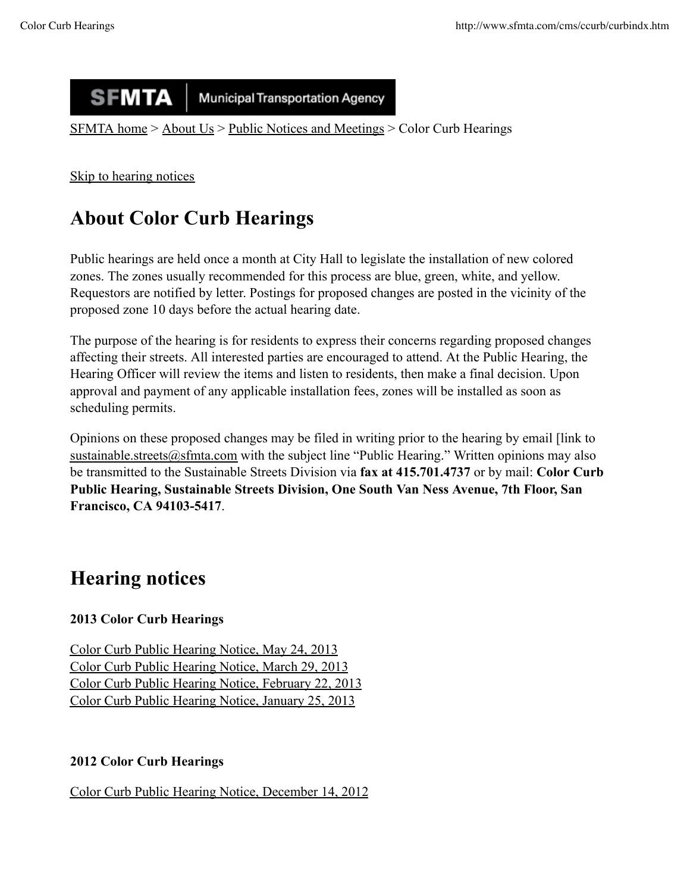#### **SFMTA Municipal Transportation Agency**

SFMTA home > About Us > Public Notices and Meetings > Color Curb Hearings

Skip to hearing notices

# **About Color Curb Hearings**

Public hearings are held once a month at City Hall to legislate the installation of new colored zones. The zones usually recommended for this process are blue, green, white, and yellow. Requestors are notified by letter. Postings for proposed changes are posted in the vicinity of the proposed zone 10 days before the actual hearing date.

The purpose of the hearing is for residents to express their concerns regarding proposed changes affecting their streets. All interested parties are encouraged to attend. At the Public Hearing, the Hearing Officer will review the items and listen to residents, then make a final decision. Upon approval and payment of any applicable installation fees, zones will be installed as soon as scheduling permits.

Opinions on these proposed changes may be filed in writing prior to the hearing by email [link to sustainable.streets@sfmta.com with the subject line "Public Hearing." Written opinions may also be transmitted to the Sustainable Streets Division via **fax at 415.701.4737** or by mail: **Color Curb Public Hearing, Sustainable Streets Division, One South Van Ness Avenue, 7th Floor, San Francisco, CA 94103-5417**.

## **Hearing notices**

### **2013 Color Curb Hearings**

Color Curb Public Hearing Notice, May 24, 2013 Color Curb Public Hearing Notice, March 29, 2013 Color Curb Public Hearing Notice, February 22, 2013 Color Curb Public Hearing Notice, January 25, 2013

#### **2012 Color Curb Hearings**

Color Curb Public Hearing Notice, December 14, 2012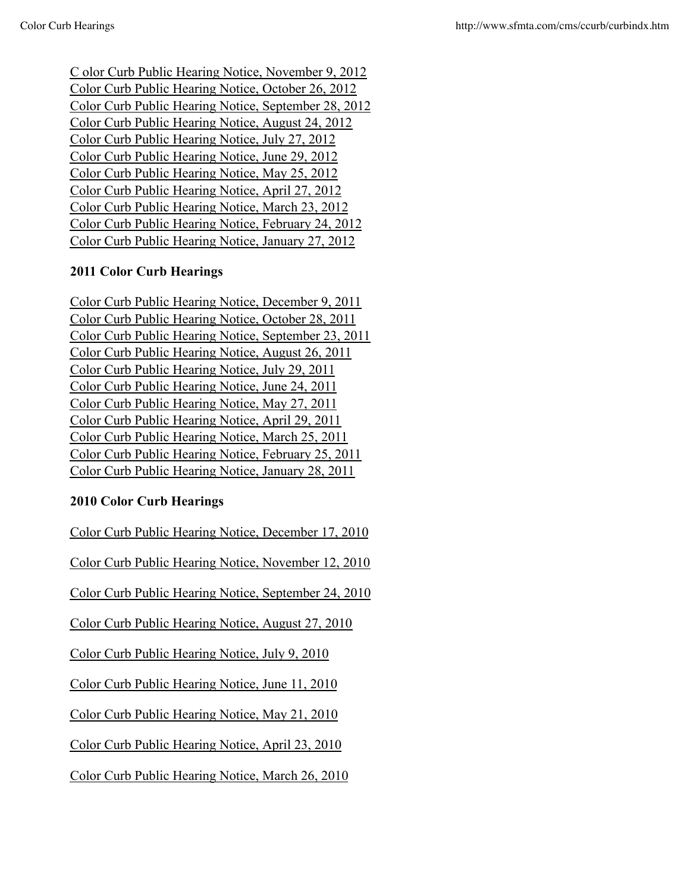C olor Curb Public Hearing Notice, November 9, 2012 Color Curb Public Hearing Notice, October 26, 2012 Color Curb Public Hearing Notice, September 28, 2012 Color Curb Public Hearing Notice, August 24, 2012 Color Curb Public Hearing Notice, July 27, 2012 Color Curb Public Hearing Notice, June 29, 2012 Color Curb Public Hearing Notice, May 25, 2012 Color Curb Public Hearing Notice, April 27, 2012 Color Curb Public Hearing Notice, March 23, 2012 Color Curb Public Hearing Notice, February 24, 2012 Color Curb Public Hearing Notice, January 27, 2012

#### **2011 Color Curb Hearings**

Color Curb Public Hearing Notice, December 9, 2011 Color Curb Public Hearing Notice, October 28, 2011 Color Curb Public Hearing Notice, September 23, 2011 Color Curb Public Hearing Notice, August 26, 2011 Color Curb Public Hearing Notice, July 29, 2011 Color Curb Public Hearing Notice, June 24, 2011 Color Curb Public Hearing Notice, May 27, 2011 Color Curb Public Hearing Notice, April 29, 2011 Color Curb Public Hearing Notice, March 25, 2011 Color Curb Public Hearing Notice, February 25, 2011 Color Curb Public Hearing Notice, January 28, 2011

#### **2010 Color Curb Hearings**

Color Curb Public Hearing Notice, December 17, 2010

Color Curb Public Hearing Notice, November 12, 2010

Color Curb Public Hearing Notice, September 24, 2010

Color Curb Public Hearing Notice, August 27, 2010

Color Curb Public Hearing Notice, July 9, 2010

Color Curb Public Hearing Notice, June 11, 2010

Color Curb Public Hearing Notice, May 21, 2010

Color Curb Public Hearing Notice, April 23, 2010

Color Curb Public Hearing Notice, March 26, 2010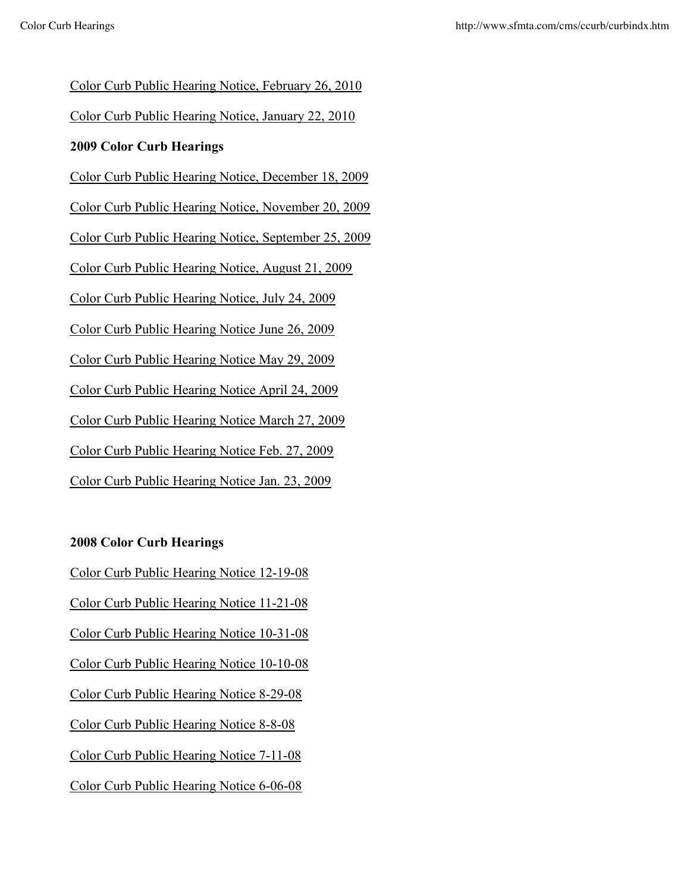Color Curb Public Hearing Notice, February 26, 2010

Color Curb Public Hearing Notice, January 22, 2010

#### **2009 Color Curb Hearings**

Color Curb Public Hearing Notice, December 18, 2009

Color Curb Public Hearing Notice, November 20, 2009

Color Curb Public Hearing Notice, September 25, 2009

Color Curb Public Hearing Notice, August 21, 2009

Color Curb Public Hearing Notice, July 24, 2009

Color Curb Public Hearing Notice June 26, 2009

Color Curb Public Hearing Notice May 29, 2009

Color Curb Public Hearing Notice April 24, 2009

Color Curb Public Hearing Notice March 27, 2009

Color Curb Public Hearing Notice Feb. 27, 2009

Color Curb Public Hearing Notice Jan. 23, 2009

#### **2008 Color Curb Hearings**

Color Curb Public Hearing Notice 12-19-08

Color Curb Public Hearing Notice 11-21-08

Color Curb Public Hearing Notice 10-31-08

Color Curb Public Hearing Notice 10-10-08

Color Curb Public Hearing Notice 8-29-08

Color Curb Public Hearing Notice 8-8-08

Color Curb Public Hearing Notice 7-11-08

Color Curb Public Hearing Notice 6-06-08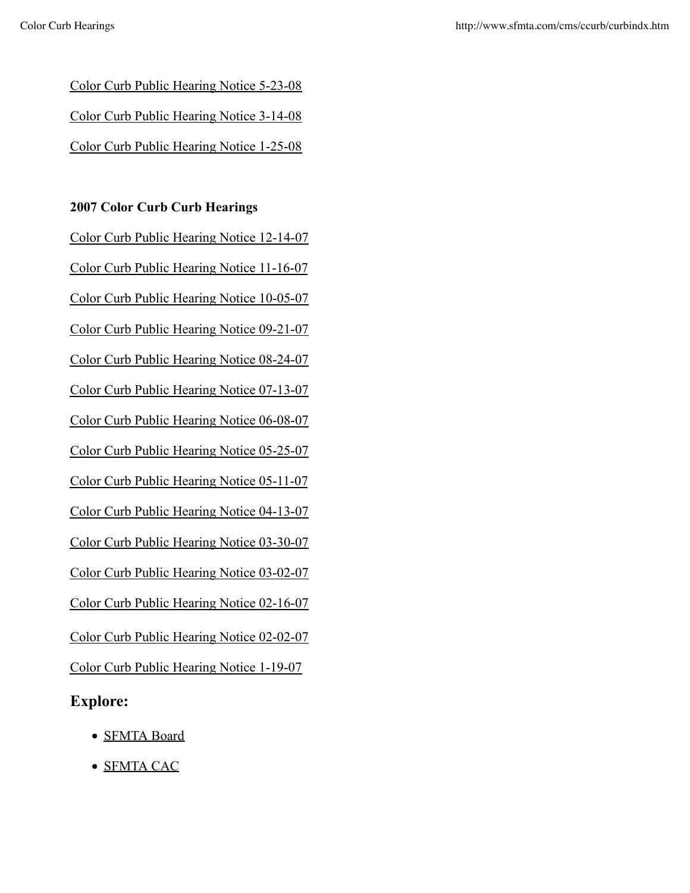Color Curb Public Hearing Notice 5-23-08 Color Curb Public Hearing Notice 3-14-08

Color Curb Public Hearing Notice 1-25-08

#### **2007 Color Curb Curb Hearings**

Color Curb Public Hearing Notice 12-14-07 Color Curb Public Hearing Notice 11-16-07 Color Curb Public Hearing Notice 10-05-07 Color Curb Public Hearing Notice 09-21-07 Color Curb Public Hearing Notice 08-24-07 Color Curb Public Hearing Notice 07-13-07 Color Curb Public Hearing Notice 06-08-07 Color Curb Public Hearing Notice 05-25-07 Color Curb Public Hearing Notice 05-11-07 Color Curb Public Hearing Notice 04-13-07 Color Curb Public Hearing Notice 03-30-07 Color Curb Public Hearing Notice 03-02-07 Color Curb Public Hearing Notice 02-16-07 Color Curb Public Hearing Notice 02-02-07 Color Curb Public Hearing Notice 1-19-07

### **Explore:**

- **SFMTA Board**
- SFMTA CAC